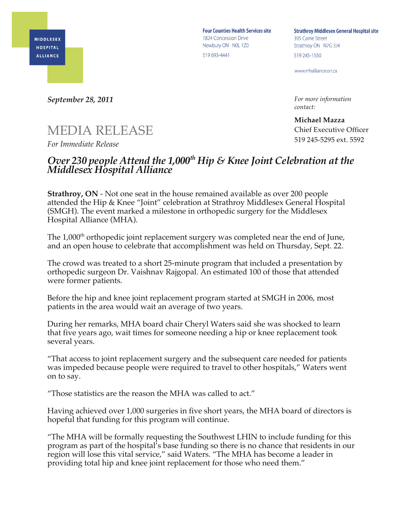**MIDDLESEX HOSPITAL ALLIANCE** 

**Four Counties Health Services site** 1824 Concession Drive Newbury ON NOL 1Z0 519 693-4441

**Strathroy Middlesex General Hospital site** 395 Carrie Street Strathroy ON N7G 3J4 519 245-1550

www.mhalliance.on.ca

*For more information contact:*

**Michael Mazza** Chief Executive Officer 519 245-5295 ext. 5592

*September 28, 2011*

## MEDIA RELEASE

*For Immediate Release*

## *Over 230 people Attend the 1,000th Hip & Knee Joint Celebration at the Middlesex Hospital Alliance*

**Strathroy, ON** - Not one seat in the house remained available as over 200 people attended the Hip & Knee "Joint" celebration at Strathroy Middlesex General Hospital (SMGH). The event marked a milestone in orthopedic surgery for the Middlesex Hospital Alliance (MHA).

The 1,000<sup>th</sup> orthopedic joint replacement surgery was completed near the end of June, and an open house to celebrate that accomplishment was held on Thursday, Sept. 22.

The crowd was treated to a short 25-minute program that included a presentation by orthopedic surgeon Dr. Vaishnav Rajgopal. An estimated 100 of those that attended were former patients.

Before the hip and knee joint replacement program started at SMGH in 2006, most patients in the area would wait an average of two years.

During her remarks, MHA board chair Cheryl Waters said she was shocked to learn that five years ago, wait times for someone needing a hip or knee replacement took several years.

"That access to joint replacement surgery and the subsequent care needed for patients was impeded because people were required to travel to other hospitals," Waters went on to say.

"Those statistics are the reason the MHA was called to act."

Having achieved over 1,000 surgeries in five short years, the MHA board of directors is hopeful that funding for this program will continue.

"The MHA will be formally requesting the Southwest LHIN to include funding for this program as part of the hospital's base funding so there is no chance that residents in our region will lose this vital service," said Waters. "The MHA has become a leader in providing total hip and knee joint replacement for those who need them."